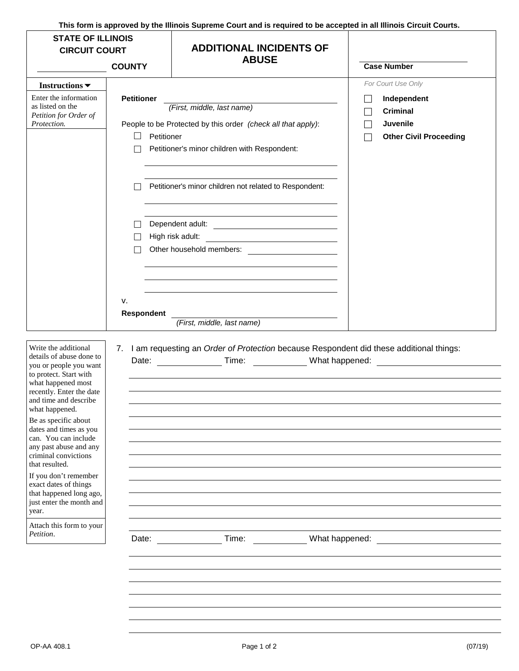**This form is approved by the Illinois Supreme Court and is required to be accepted in all Illinois Circuit Courts.** 

| <b>STATE OF ILLINOIS</b><br><b>CIRCUIT COURT</b>                                                                                                                                                                                                                                                                                                                                                                                                                                                           |                                                               | <b>ADDITIONAL INCIDENTS OF</b><br><b>ABUSE</b>                                                                                                                                                                                                                                                                                                                                                                                                                                                                                |                                                                                                   |
|------------------------------------------------------------------------------------------------------------------------------------------------------------------------------------------------------------------------------------------------------------------------------------------------------------------------------------------------------------------------------------------------------------------------------------------------------------------------------------------------------------|---------------------------------------------------------------|-------------------------------------------------------------------------------------------------------------------------------------------------------------------------------------------------------------------------------------------------------------------------------------------------------------------------------------------------------------------------------------------------------------------------------------------------------------------------------------------------------------------------------|---------------------------------------------------------------------------------------------------|
|                                                                                                                                                                                                                                                                                                                                                                                                                                                                                                            | <b>COUNTY</b>                                                 |                                                                                                                                                                                                                                                                                                                                                                                                                                                                                                                               | <b>Case Number</b>                                                                                |
| Instructions $\blacktriangledown$<br>Enter the information<br>as listed on the<br>Petition for Order of<br>Protection.                                                                                                                                                                                                                                                                                                                                                                                     | <b>Petitioner</b><br>Petitioner<br>$\Box$<br>v.<br>Respondent | (First, middle, last name)<br>People to be Protected by this order (check all that apply):<br>Petitioner's minor children with Respondent:<br>Petitioner's minor children not related to Respondent:<br>High risk adult:<br><u> 1980 - Johann Barbara, martin amerikan basar da</u><br>Other household members:<br><u> and the contract of the contract of the contract of the contract of the contract of the contract of the contract of the contract of the contract of the contract of the contract of the contract o</u> | For Court Use Only<br>Independent<br><b>Criminal</b><br>Juvenile<br><b>Other Civil Proceeding</b> |
| Write the additional<br>details of abuse done to<br>you or people you want<br>to protect. Start with<br>what happened most<br>recently. Enter the date<br>and time and describe<br>what happened.<br>Be as specific about<br>dates and times as you<br>can. You can include<br>any past abuse and any<br>criminal convictions<br>that resulted.<br>If you don't remember<br>exact dates of things<br>that happened long ago,<br>just enter the month and<br>year.<br>Attach this form to your<br>Petition. | Date:                                                         | (First, middle, last name)<br>7. I am requesting an Order of Protection because Respondent did these additional things:<br>Date: Time: What happened:<br>What happened:<br>Time:                                                                                                                                                                                                                                                                                                                                              |                                                                                                   |